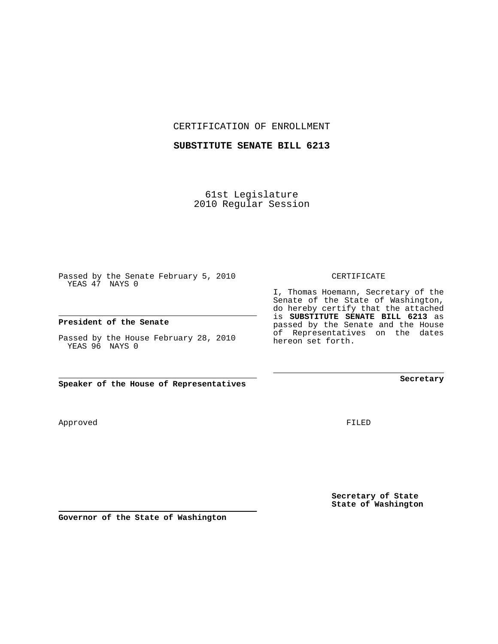CERTIFICATION OF ENROLLMENT

## **SUBSTITUTE SENATE BILL 6213**

61st Legislature 2010 Regular Session

Passed by the Senate February 5, 2010 YEAS 47 NAYS 0

## **President of the Senate**

Passed by the House February 28, 2010 YEAS 96 NAYS 0

**Speaker of the House of Representatives**

Approved

FILED

**Secretary of State State of Washington**

**Governor of the State of Washington**

CERTIFICATE

I, Thomas Hoemann, Secretary of the Senate of the State of Washington, do hereby certify that the attached is **SUBSTITUTE SENATE BILL 6213** as passed by the Senate and the House of Representatives on the dates hereon set forth.

**Secretary**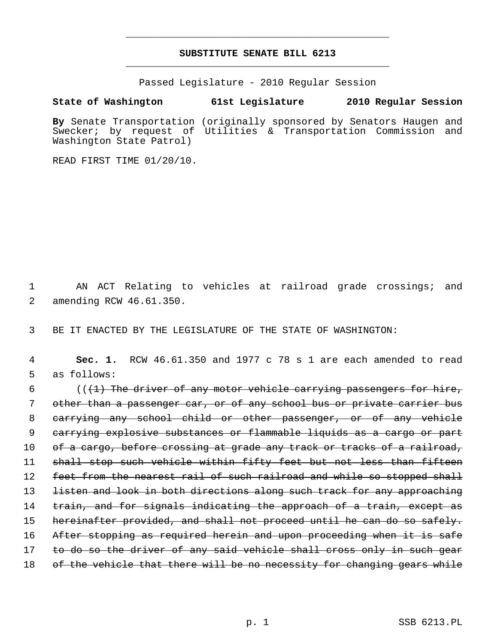## **SUBSTITUTE SENATE BILL 6213** \_\_\_\_\_\_\_\_\_\_\_\_\_\_\_\_\_\_\_\_\_\_\_\_\_\_\_\_\_\_\_\_\_\_\_\_\_\_\_\_\_\_\_\_\_

\_\_\_\_\_\_\_\_\_\_\_\_\_\_\_\_\_\_\_\_\_\_\_\_\_\_\_\_\_\_\_\_\_\_\_\_\_\_\_\_\_\_\_\_\_

Passed Legislature - 2010 Regular Session

**State of Washington 61st Legislature 2010 Regular Session**

**By** Senate Transportation (originally sponsored by Senators Haugen and Swecker; by request of Utilities & Transportation Commission and Washington State Patrol)

READ FIRST TIME 01/20/10.

 1 AN ACT Relating to vehicles at railroad grade crossings; and 2 amending RCW 46.61.350.

3 BE IT ENACTED BY THE LEGISLATURE OF THE STATE OF WASHINGTON:

 4 **Sec. 1.** RCW 46.61.350 and 1977 c 78 s 1 are each amended to read 5 as follows:

6  $($   $($   $($   $+$   $)$  The driver of any motor vehicle carrying passengers for hire, 7 other than a passenger car, or of any school bus or private carrier bus 8 carrying any school child or other passenger, or of any vehicle 9 carrying explosive substances or flammable liquids as a cargo or part 10 of a cargo, before crossing at grade any track or tracks of a railroad, 11 shall stop such vehicle within fifty feet but not less than fifteen 12 feet from the nearest rail of such railroad and while so stopped shall 13 listen and look in both directions along such track for any approaching 14 train, and for signals indicating the approach of a train, except as 15 hereinafter provided, and shall not proceed until he can do so safely. 16 After stopping as required herein and upon proceeding when it is safe 17 to do so the driver of any said vehicle shall cross only in such gear 18 of the vehicle that there will be no necessity for changing gears while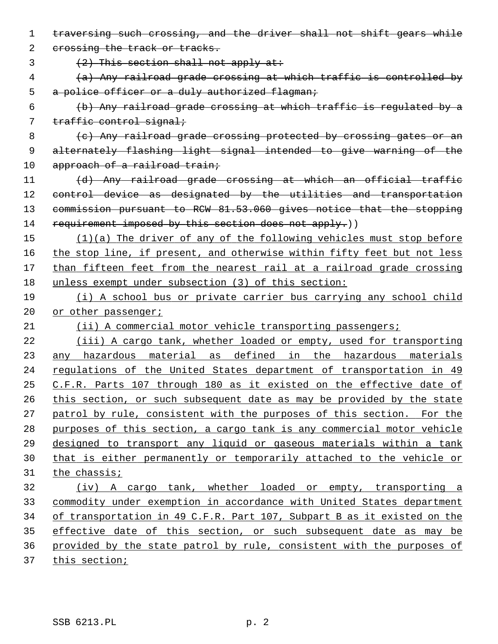traversing such crossing, and the driver shall not shift gears while 2 crossing the track or tracks.  $(2)$  This section shall not apply at: (a) Any railroad grade crossing at which traffic is controlled by 5 a police officer or a duly authorized flagman; (b) Any railroad grade crossing at which traffic is regulated by a 7 traffic control signal; 8 (c) Any railroad grade crossing protected by crossing gates or an alternately flashing light signal intended to give warning of the 10 approach of a railroad train; (d) Any railroad grade crossing at which an official traffic 12 control device as designated by the utilities and transportation commission pursuant to RCW 81.53.060 gives notice that the stopping 14 requirement imposed by this section does not apply.)) (1)(a) The driver of any of the following vehicles must stop before the stop line, if present, and otherwise within fifty feet but not less than fifteen feet from the nearest rail at a railroad grade crossing unless exempt under subsection (3) of this section: (i) A school bus or private carrier bus carrying any school child 20 or other passenger; (ii) A commercial motor vehicle transporting passengers; (iii) A cargo tank, whether loaded or empty, used for transporting any hazardous material as defined in the hazardous materials regulations of the United States department of transportation in 49 C.F.R. Parts 107 through 180 as it existed on the effective date of this section, or such subsequent date as may be provided by the state patrol by rule, consistent with the purposes of this section. For the purposes of this section, a cargo tank is any commercial motor vehicle designed to transport any liquid or gaseous materials within a tank that is either permanently or temporarily attached to the vehicle or the chassis; (iv) A cargo tank, whether loaded or empty, transporting a commodity under exemption in accordance with United States department of transportation in 49 C.F.R. Part 107, Subpart B as it existed on the effective date of this section, or such subsequent date as may be provided by the state patrol by rule, consistent with the purposes of this section;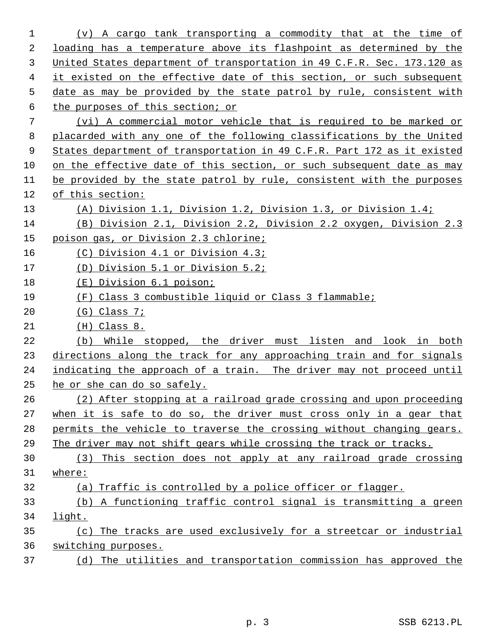| 1  | (v) A cargo tank transporting a commodity that at the time of           |
|----|-------------------------------------------------------------------------|
| 2  | loading has a temperature above its flashpoint as determined by the     |
| 3  | United States department of transportation in 49 C.F.R. Sec. 173.120 as |
| 4  | it existed on the effective date of this section, or such subsequent    |
| 5  | date as may be provided by the state patrol by rule, consistent with    |
| 6  | the purposes of this section; or                                        |
| 7  | (vi) A commercial motor vehicle that is required to be marked or        |
| 8  | placarded with any one of the following classifications by the United   |
| 9  | States department of transportation in 49 C.F.R. Part 172 as it existed |
| 10 | on the effective date of this section, or such subsequent date as may   |
| 11 | be provided by the state patrol by rule, consistent with the purposes   |
| 12 | of this section:                                                        |
| 13 | (A) Division 1.1, Division 1.2, Division 1.3, or Division 1.4;          |
| 14 | (B) Division 2.1, Division 2.2, Division 2.2 oxygen, Division 2.3       |
| 15 | poison gas, or Division 2.3 chlorine;                                   |
| 16 | (C) Division 4.1 or Division 4.3;                                       |
| 17 | (D) Division 5.1 or Division 5.2;                                       |
| 18 | (E) Division 6.1 poison;                                                |
| 19 | Class 3 combustible liquid or Class 3 flammable;<br>(F)                 |
| 20 | $(G)$ Class 7;                                                          |
| 21 | $(H)$ Class 8.                                                          |
| 22 | While stopped, the driver must listen and look in both<br>(b)           |
| 23 | directions along the track for any approaching train and for signals    |
| 24 | indicating the approach of a train. The driver may not proceed until    |
| 25 | he or she can do so safely.                                             |
| 26 | (2) After stopping at a railroad grade crossing and upon proceeding     |
| 27 | when it is safe to do so, the driver must cross only in a gear that     |
| 28 | permits the vehicle to traverse the crossing without changing gears.    |
| 29 | The driver may not shift gears while crossing the track or tracks.      |
| 30 | This section does not apply at any railroad grade crossing<br>(3)       |
| 31 | where:                                                                  |
| 32 | (a) Traffic is controlled by a police officer or flagger.               |
| 33 | A functioning traffic control signal is transmitting a green<br>(b)     |
| 34 | light.                                                                  |
| 35 | The tracks are used exclusively for a streetcar or industrial<br>(c)    |
| 36 | switching purposes.                                                     |
| 37 | (d) The utilities and transportation commission has approved the        |